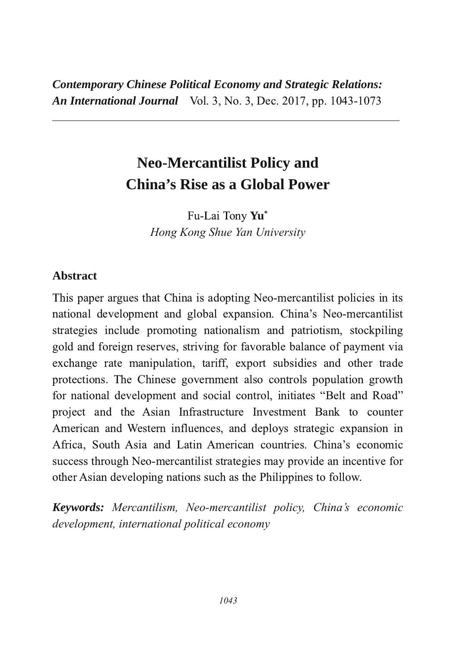*Contemporary Chinese Political Economy and Strategic Relations:* **An International Journal** Vol. 3, No. 3, Dec. 2017, pp. 1043-1073

8888888888888888888888888888888888888888888888888888888888

# **Neo-Mercantilist Policy and China's Rise as a Global Power**

 $Fu-Lai$  Tony  $Yu^*$ *Hong Kong Shue Yan University*

## **Abstract**

This paper argues that China is adopting Neo-mercantilist policies in its national development and global expansion. China's Neo-mercantilist strategies include promoting nationalism and patriotism, stockpiling gold and foreign reserves, striving for favorable balance of payment via exchange rate manipulation, tariff, export subsidies and other trade protections. The Chinese government also controls population growth for national development and social control, initiates "Belt and Road" project and the Asian Infrastructure Investment Bank to counter American and Western influences, and deploys strategic expansion in Africa, South Asia and Latin American countries. China's economic success through Neo-mercantilist strategies may provide an incentive for other Asian developing nations such as the Philippines to follow.

*Keywords: Mercantilism, Neomercantilist policy, China's economic development, international political economy*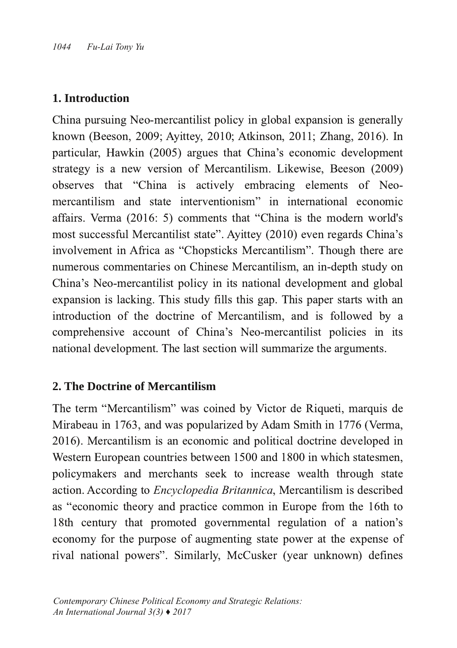## **1. Introduction**

China pursuing Neo-mercantilist policy in global expansion is generally known (Beeson, 2009; Ayittey, 2010; Atkinson, 2011; Zhang, 2016). In particular, Hawkin (2005) argues that China's economic development strategy is a new version of Mercantilism. Likewise, Beeson (2009) observes that "China is actively embracing elements of Neomercantilism and state interventionism" in international economic affairs. Verma (2016: 5) comments that "China is the modern world's most successful Mercantilist state". Ayittey (2010) even regards China's involvement in Africa as "Chopsticks Mercantilism". Though there are numerous commentaries on Chinese Mercantilism, an in-depth study on China's Neo-mercantilist policy in its national development and global expansion is lacking. This study fills this gap. This paper starts with an introduction of the doctrine of Mercantilism, and is followed by a comprehensive account of China's Neo-mercantilist policies in its national development. The last section will summarize the arguments.

## **2. The Doctrine of Mercantilism**

The term "Mercantilism" was coined by Victor de Riqueti, marquis de Mirabeau in 1763, and was popularized by Adam Smith in 1776 (Verma, 2016). Mercantilism is an economic and political doctrine developed in Western European countries between 1500 and 1800 in which statesmen, policymakers and merchants seek to increase wealth through state action. According to *Encyclopedia Britannica*, Mercantilism is described as "economic theory and practice common in Europe from the 16th to 18th century that promoted governmental regulation of a nation's economy for the purpose of augmenting state power at the expense of rival national powers". Similarly, McCusker (year unknown) defines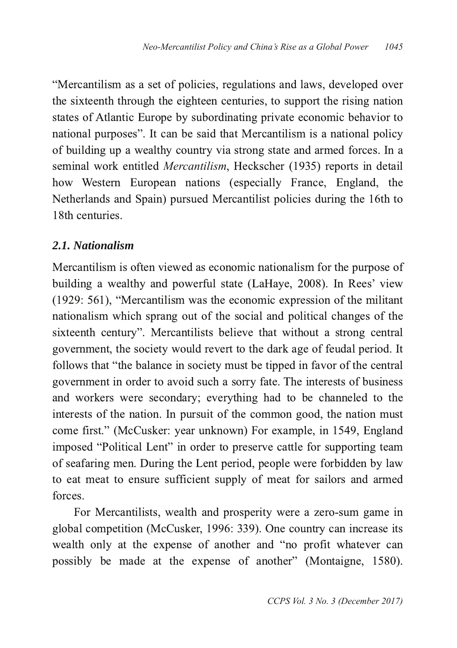"Mercantilism as a set of policies, regulations and laws, developed over the sixteenth through the eighteen centuries, to support the rising nation states of Atlantic Europe by subordinating private economic behavior to national purposes". It can be said that Mercantilism is a national policy of building up a wealthy country via strong state and armed forces. In a seminal work entitled *Mercantilism*, Heckscher (1935) reports in detail how Western European nations (especially France, England, the Netherlands and Spain) pursued Mercantilist policies during the 16th to 18th centuries.

# *2.1. Nationalism*

Mercantilism is often viewed as economic nationalism for the purpose of building a wealthy and powerful state (LaHaye, 2008). In Rees' view (1929: 561), "Mercantilism was the economic expression of the militant nationalism which sprang out of the social and political changes of the sixteenth century". Mercantilists believe that without a strong central government, the society would revert to the dark age of feudal period. It follows that "the balance in society must be tipped in favor of the central government in order to avoid such a sorry fate. The interests of business and workers were secondary; everything had to be channeled to the interests of the nation. In pursuit of the common good, the nation must come first." (McCusker: year unknown) For example, in 1549, England imposed "Political Lent" in order to preserve cattle for supporting team of seafaring men. During the Lent period, people were forbidden by law to eat meat to ensure sufficient supply of meat for sailors and armed forces.

For Mercantilists, wealth and prosperity were a zero-sum game in global competition (McCusker, 1996: 339). One country can increase its wealth only at the expense of another and "no profit whatever can possibly be made at the expense of another" (Montaigne, 1580).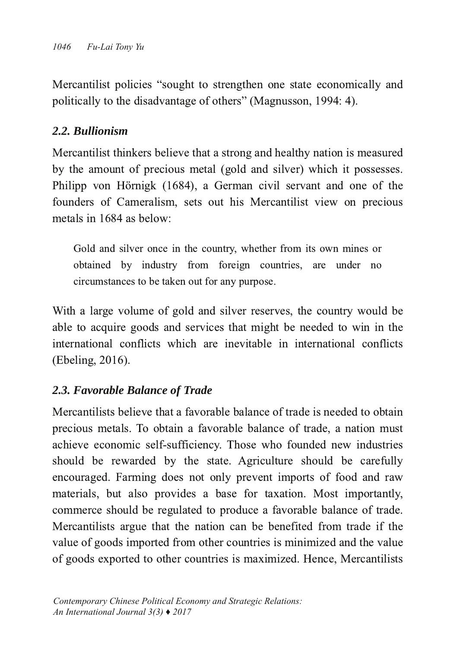Mercantilist policies "sought to strengthen one state economically and politically to the disadvantage of others" (Magnusson, 1994: 4).

# *2.2. Bullionism*

Mercantilist thinkers believe that a strong and healthy nation is measured by the amount of precious metal (gold and silver) which it possesses. Philipp von Hörnigk (1684), a German civil servant and one of the founders of Cameralism, sets out his Mercantilist view on precious metals in 1684 as below:

Gold and silver once in the country, whether from its own mines or obtained by industry from foreign countries, are under no circumstances to be taken out for any purpose.

With a large volume of gold and silver reserves, the country would be able to acquire goods and services that might be needed to win in the international conflicts which are inevitable in international conflicts (Ebeling, 2016).

# *2.3. Favorable Balance of Trade*

Mercantilists believe that a favorable balance of trade is needed to obtain precious metals. To obtain a favorable balance of trade, a nation must achieve economic self-sufficiency. Those who founded new industries should be rewarded by the state. Agriculture should be carefully encouraged. Farming does not only prevent imports of food and raw materials, but also provides a base for taxation. Most importantly, commerce should be regulated to produce a favorable balance of trade. Mercantilists argue that the nation can be benefited from trade if the value of goods imported from other countries is minimized and the value of goods exported to other countries is maximized. Hence, Mercantilists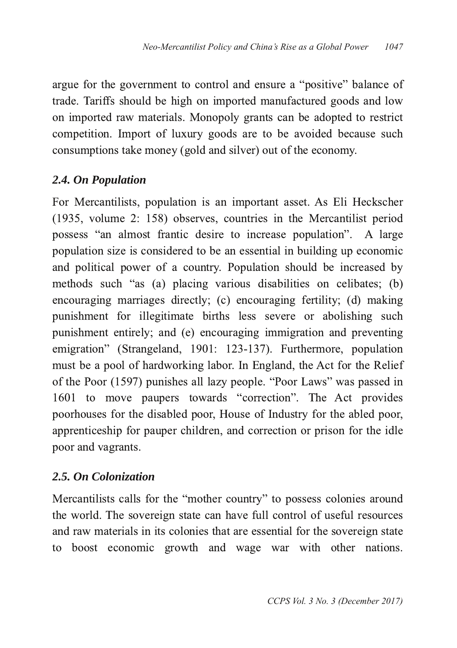argue for the government to control and ensure a "positive" balance of trade. Tariffs should be high on imported manufactured goods and low on imported raw materials. Monopoly grants can be adopted to restrict competition. Import of luxury goods are to be avoided because such consumptions take money (gold and silver) out of the economy.

# *2.4. On Population*

For Mercantilists, population is an important asset. As Eli Heckscher  $(1935,$  volume 2: 158) observes, countries in the Mercantilist period possess "an almost frantic desire to increase population". A large population size is considered to be an essential in building up economic and political power of a country. Population should be increased by methods such "as (a) placing various disabilities on celibates; (b) encouraging marriages directly; (c) encouraging fertility; (d) making punishment for illegitimate births less severe or abolishing such punishment entirely; and (e) encouraging immigration and preventing emigration" (Strangeland, 1901: 123-137). Furthermore, population must be a pool of hardworking labor. In England, the Act for the Relief of the Poor (1597) punishes all lazy people. "Poor Laws" was passed in 1601 to move paupers towards "correction". The Act provides poorhouses for the disabled poor, House of Industry for the abled poor, apprenticeship for pauper children, and correction or prison for the idle poor and vagrants.

# *2.5. On Colonization*

Mercantilists calls for the "mother country" to possess colonies around the world. The sovereign state can have full control of useful resources and raw materials in its colonies that are essential for the sovereign state to boost economic growth and wage war with other nations.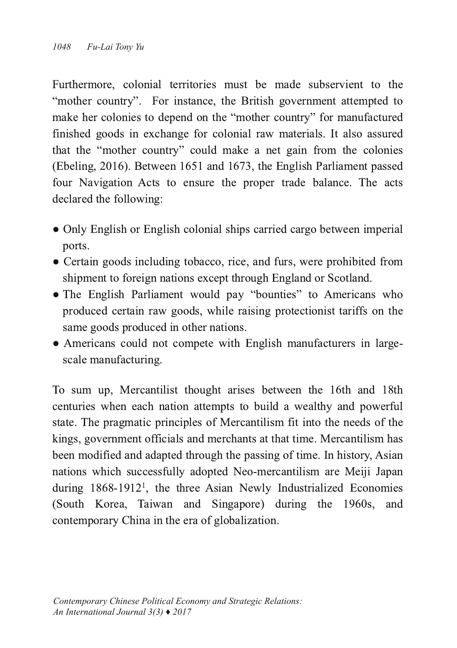Furthermore, colonial territories must be made subservient to the "mother country". For instance, the British government attempted to make her colonies to depend on the "mother country" for manufactured finished goods in exchange for colonial raw materials. It also assured that the "mother country" could make a net gain from the colonies (Ebeling, 2016). Between 1651 and 1673, the English Parliament passed four Navigation Acts to ensure the proper trade balance. The acts declared the following:

- Only English or English colonial ships carried cargo between imperial ports.
- Certain goods including tobacco, rice, and furs, were prohibited from shipment to foreign nations except through England or Scotland.
- The English Parliament would pay "bounties" to Americans who produced certain raw goods, while raising protectionist tariffs on the same goods produced in other nations.
- $\bullet$  Americans could not compete with English manufacturers in largescale manufacturing.

To sum up, Mercantilist thought arises between the 16th and 18th centuries when each nation attempts to build a wealthy and powerful state. The pragmatic principles of Mercantilism fit into the needs of the kings, government officials and merchants at that time. Mercantilism has been modified and adapted through the passing of time. In history, Asian nations which successfully adopted Neo-mercantilism are Meiji Japan during 1868-1912<sup>1</sup>, the three Asian Newly Industrialized Economies (South Korea, Taiwan and Singapore) during the 1960s, and contemporary China in the era of globalization.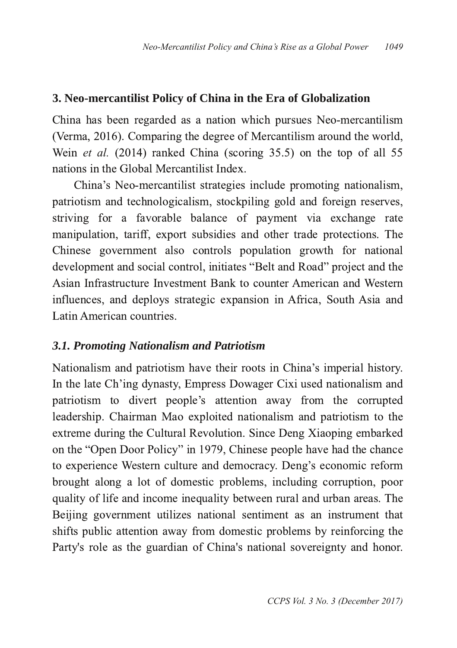## **3. Neomercantilist Policy of China in the Era of Globalization**

China has been regarded as a nation which pursues Neo-mercantilism (Verma, 2016). Comparing the degree of Mercantilism around the world, Wein et al. (2014) ranked China (scoring 35.5) on the top of all 55 nations in the Global Mercantilist Index.

China's Neo-mercantilist strategies include promoting nationalism, patriotism and technologicalism, stockpiling gold and foreign reserves, striving for a favorable balance of payment via exchange rate manipulation, tariff, export subsidies and other trade protections. The Chinese government also controls population growth for national development and social control, initiates "Belt and Road" project and the Asian Infrastructure Investment Bank to counter American and Western influences, and deploys strategic expansion in Africa, South Asia and Latin American countries.

#### *3.1. Promoting Nationalism and Patriotism*

Nationalism and patriotism have their roots in China's imperial history. In the late Ch'ing dynasty, Empress Dowager Cixi used nationalism and patriotism to divert people's attention away from the corrupted leadership. Chairman Mao exploited nationalism and patriotism to the extreme during the Cultural Revolution. Since Deng Xiaoping embarked on the "Open Door Policy" in 1979, Chinese people have had the chance to experience Western culture and democracy. Deng's economic reform brought along a lot of domestic problems, including corruption, poor quality of life and income inequality between rural and urban areas. The Beijing government utilizes national sentiment as an instrument that shifts public attention away from domestic problems by reinforcing the Party's role as the guardian of China's national sovereignty and honor.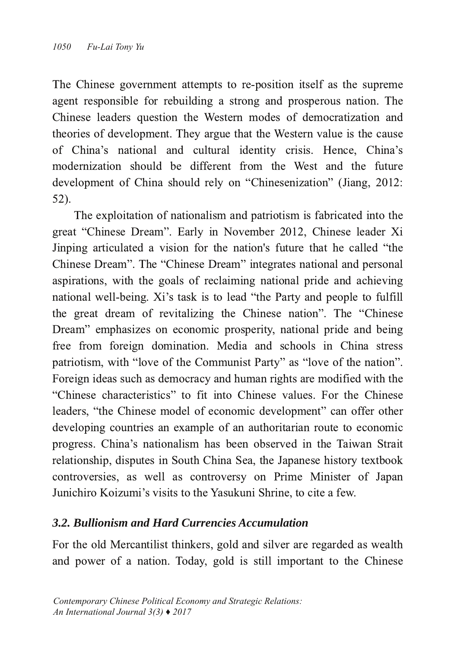The Chinese government attempts to re-position itself as the supreme agent responsible for rebuilding a strong and prosperous nation. The Chinese leaders question the Western modes of democratization and theories of development. They argue that the Western value is the cause of China's national and cultural identity crisis. Hence, China's modernization should be different from the West and the future development of China should rely on "Chinesenization" (Jiang, 2012:  $52$ ).

The exploitation of nationalism and patriotism is fabricated into the great "Chinese Dream". Early in November 2012, Chinese leader Xi Jinping articulated a vision for the nation's future that he called "the Chinese Dream". The "Chinese Dream" integrates national and personal aspirations, with the goals of reclaiming national pride and achieving national well-being. Xi's task is to lead "the Party and people to fulfill the great dream of revitalizing the Chinese nation". The "Chinese Dream" emphasizes on economic prosperity, national pride and being free from foreign domination. Media and schools in China stress patriotism, with "love of the Communist Party" as "love of the nation". Foreign ideas such as democracy and human rights are modified with the "Chinese characteristics" to fit into Chinese values. For the Chinese leaders, "the Chinese model of economic development" can offer other developing countries an example of an authoritarian route to economic progress. China's nationalism has been observed in the Taiwan Strait relationship, disputes in South China Sea, the Japanese history textbook controversies, as well as controversy on Prime Minister of Japan Junichiro Koizumi's visits to the Yasukuni Shrine, to cite a few.

# *3.2. Bullionism and Hard Currencies Accumulation*

For the old Mercantilist thinkers, gold and silver are regarded as wealth and power of a nation. Today, gold is still important to the Chinese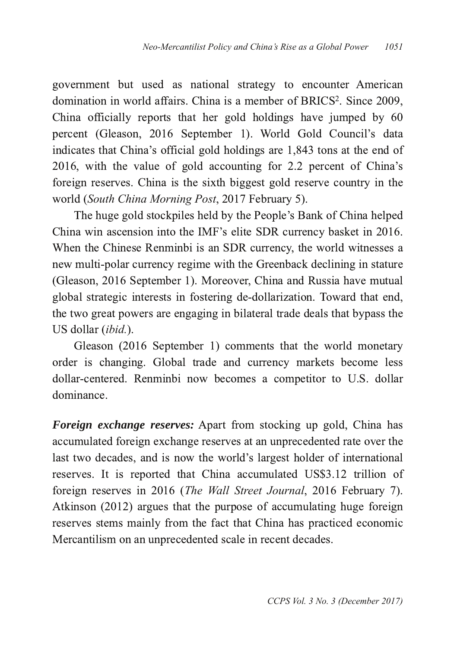government but used as national strategy to encounter American domination in world affairs. China is a member of BRICS<sup>2</sup>. Since 2009, **.** China officially reports that her gold holdings have jumped by  $60$ percent (Gleason, 2016 September 1). World Gold Council's data indicates that China's official gold holdings are 1,843 tons at the end of 2016, with the value of gold accounting for 2.2 percent of China's foreign reserves. China is the sixth biggest gold reserve country in the world (South China Morning Post, 2017 February 5).

The huge gold stockpiles held by the People's Bank of China helped China win ascension into the IMF's elite SDR currency basket in 2016. When the Chinese Renminbi is an SDR currency, the world witnesses a new multi-polar currency regime with the Greenback declining in stature (Gleason, 2016 September 1). Moreover, China and Russia have mutual global strategic interests in fostering de-dollarization. Toward that end, the two great powers are engaging in bilateral trade deals that bypass the US dollar (ibid.).

Gleason (2016 September 1) comments that the world monetary order is changing. Global trade and currency markets become less dollar-centered. Renminbi now becomes a competitor to U.S. dollar dominance.

*Foreign exchange reserves:* Apart from stocking up gold, China has accumulated foreign exchange reserves at an unprecedented rate over the last two decades, and is now the world's largest holder of international reserves. It is reported that China accumulated US\$3.12 trillion of foreign reserves in 2016 (The Wall Street Journal, 2016 February 7). Atkinson (2012) argues that the purpose of accumulating huge foreign reserves stems mainly from the fact that China has practiced economic Mercantilism on an unprecedented scale in recent decades.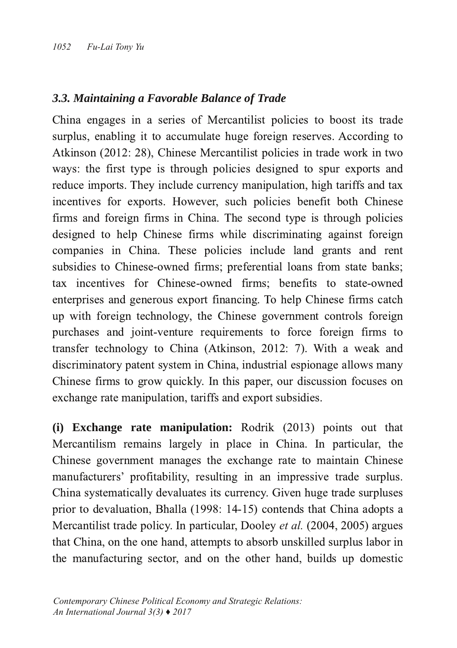### *3.3. Maintaining a Favorable Balance of Trade*

China engages in a series of Mercantilist policies to boost its trade surplus, enabling it to accumulate huge foreign reserves. According to Atkinson (2012: 28), Chinese Mercantilist policies in trade work in two ways: the first type is through policies designed to spur exports and reduce imports. They include currency manipulation, high tariffs and tax incentives for exports. However, such policies benefit both Chinese firms and foreign firms in China. The second type is through policies designed to help Chinese firms while discriminating against foreign companies in China. These policies include land grants and rent subsidies to Chinese-owned firms: preferential loans from state banks: tax incentives for Chinese-owned firms: benefits to state-owned enterprises and generous export financing. To help Chinese firms catch up with foreign technology, the Chinese government controls foreign purchases and joint-venture requirements to force foreign firms to transfer technology to China (Atkinson, 2012: 7). With a weak and discriminatory patent system in China, industrial espionage allows many Chinese firms to grow quickly. In this paper, our discussion focuses on exchange rate manipulation, tariffs and export subsidies.

**(i) Exchange rate manipulation:** Rodrik (2013) points out that Mercantilism remains largely in place in China. In particular, the Chinese government manages the exchange rate to maintain Chinese manufacturers' profitability, resulting in an impressive trade surplus. China systematically devaluates its currency. Given huge trade surpluses prior to devaluation, Bhalla (1998: 14-15) contends that China adopts a Mercantilist trade policy. In particular, Dooley et al. (2004, 2005) argues that China, on the one hand, attempts to absorb unskilled surplus labor in the manufacturing sector, and on the other hand, builds up domestic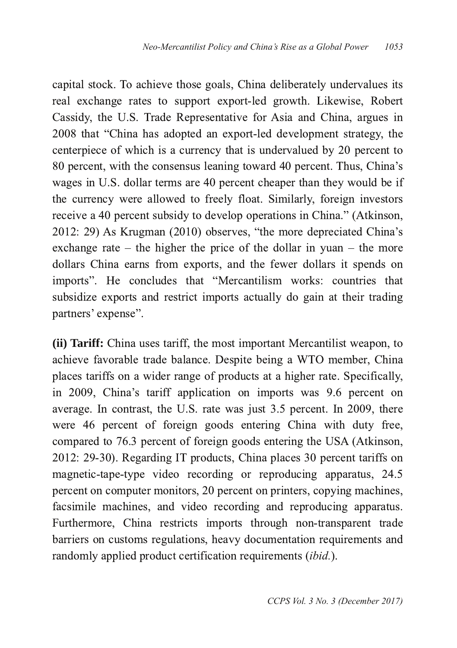capital stock. To achieve those goals, China deliberately undervalues its real exchange rates to support export-led growth. Likewise, Robert Cassidy, the U.S. Trade Representative for Asia and China, argues in 2008 that "China has adopted an export-led development strategy, the centerpiece of which is a currency that is undervalued by 20 percent to 80 percent, with the consensus leaning toward 40 percent. Thus, China's wages in U.S. dollar terms are 40 percent cheaper than they would be if the currency were allowed to freely float. Similarly, foreign investors receive a 40 percent subsidy to develop operations in China." (Atkinson,  $2012: 29$ ) As Krugman (2010) observes, "the more depreciated China's exchange rate – the higher the price of the dollar in yuan – the more dollars China earns from exports, and the fewer dollars it spends on imports". He concludes that "Mercantilism works: countries that subsidize exports and restrict imports actually do gain at their trading partners' expense".

**(ii) Tariff:** China uses tariff, the most important Mercantilist weapon, to achieve favorable trade balance. Despite being a WTO member, China places tariffs on a wider range of products at a higher rate. Specifically, in 2009, China's tariff application on imports was 9.6 percent on average. In contrast, the U.S. rate was just 3.5 percent. In 2009, there were 46 percent of foreign goods entering China with duty free, compared to 76.3 percent of foreign goods entering the USA (Atkinson, 2012: 29-30). Regarding IT products, China places 30 percent tariffs on magnetic-tape-type video recording or reproducing apparatus, 24.5 percent on computer monitors, 20 percent on printers, copying machines, facsimile machines, and video recording and reproducing apparatus. Furthermore, China restricts imports through non-transparent trade barriers on customs regulations, heavy documentation requirements and randomly applied product certification requirements *(ibid.)*.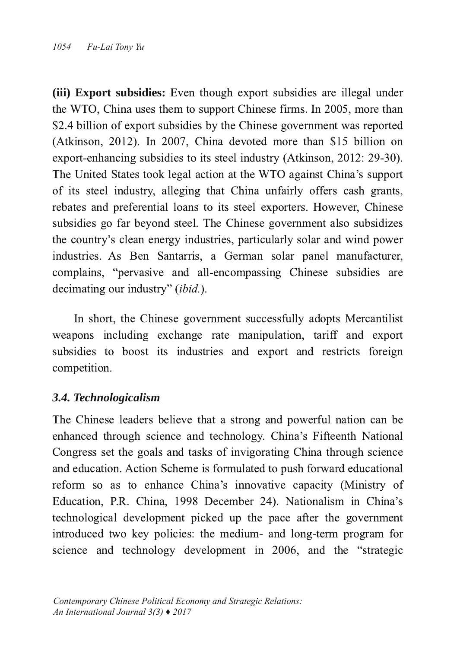**(iii) Export subsidies:** Even though export subsidies are illegal under the WTO, China uses them to support Chinese firms. In 2005, more than \$2.4 billion of export subsidies by the Chinese government was reported (Atkinson, 2012). In 2007, China devoted more than \$15 billion on export-enhancing subsidies to its steel industry (Atkinson,  $2012$ ;  $29-30$ ). The United States took legal action at the WTO against China's support of its steel industry, alleging that China unfairly offers cash grants, rebates and preferential loans to its steel exporters. However, Chinese subsidies go far beyond steel. The Chinese government also subsidizes the country's clean energy industries, particularly solar and wind power industries. As Ben Santarris, a German solar panel manufacturer, complains, "pervasive and all-encompassing Chinese subsidies are decimating our industry" (ibid.).

In short, the Chinese government successfully adopts Mercantilist weapons including exchange rate manipulation, tariff and export subsidies to boost its industries and export and restricts foreign competition.

## *3.4. Technologicalism*

The Chinese leaders believe that a strong and powerful nation can be enhanced through science and technology. China's Fifteenth National Congress set the goals and tasks of invigorating China through science and education. Action Scheme is formulated to push forward educational reform so as to enhance China's innovative capacity (Ministry of Education, P.R. China, 1998 December 24). Nationalism in China's technological development picked up the pace after the government introduced two key policies: the medium- and long-term program for science and technology development in 2006, and the "strategic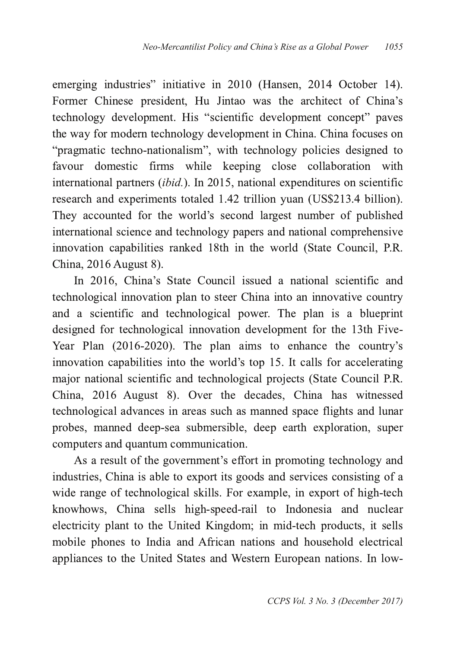emerging industries" initiative in 2010 (Hansen, 2014 October 14). Former Chinese president, Hu Jintao was the architect of China's technology development. His "scientific development concept" paves the way for modern technology development in China. China focuses on "pragmatic techno-nationalism", with technology policies designed to favour domestic firms while keeping close collaboration with international partners (ibid.). In 2015, national expenditures on scientific research and experiments totaled 1.42 trillion yuan (US\$213.4 billion). They accounted for the world's second largest number of published international science and technology papers and national comprehensive innovation capabilities ranked 18th in the world (State Council, P.R. China, 2016 August 8).

In 2016, China's State Council issued a national scientific and technological innovation plan to steer China into an innovative country and a scientific and technological power. The plan is a blueprint designed for technological innovation development for the 13th Five-Year Plan  $(2016-2020)$ . The plan aims to enhance the country's innovation capabilities into the world's top 15. It calls for accelerating major national scientific and technological projects (State Council P.R. China, 2016 August 8). Over the decades, China has witnessed technological advances in areas such as manned space flights and lunar probes, manned deep-sea submersible, deep earth exploration, super computers and quantum communication.

As a result of the government's effort in promoting technology and industries, China is able to export its goods and services consisting of a wide range of technological skills. For example, in export of high-tech knowhows, China sells high-speed-rail to Indonesia and nuclear electricity plant to the United Kingdom; in mid-tech products, it sells mobile phones to India and African nations and household electrical appliances to the United States and Western European nations. In low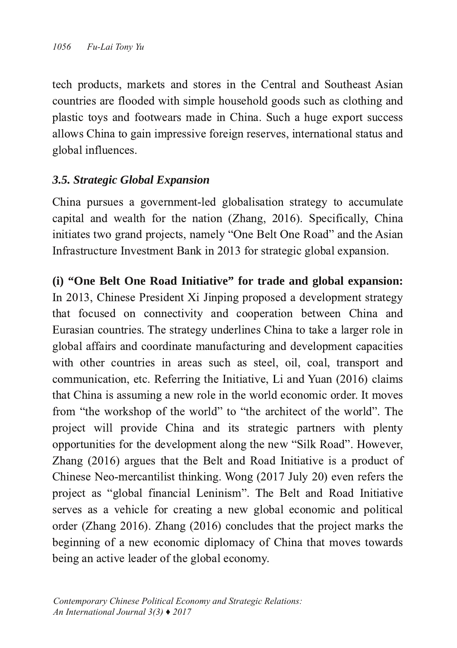tech products, markets and stores in the Central and Southeast Asian countries are flooded with simple household goods such as clothing and plastic toys and footwears made in China. Such a huge export success allows China to gain impressive foreign reserves, international status and global influences.

# *3.5. Strategic Global Expansion*

China pursues a government-led globalisation strategy to accumulate capital and wealth for the nation (Zhang, 2016). Specifically, China initiates two grand projects, namely "One Belt One Road" and the Asian Infrastructure Investment Bank in 2013 for strategic global expansion.

**(i) "One Belt One Road Initiative" for trade and global expansion:** In 2013, Chinese President Xi Jinping proposed a development strategy that focused on connectivity and cooperation between China and Eurasian countries. The strategy underlines China to take a larger role in global affairs and coordinate manufacturing and development capacities with other countries in areas such as steel, oil, coal, transport and communication, etc. Referring the Initiative, Li and Yuan (2016) claims that China is assuming a new role in the world economic order. It moves from "the workshop of the world" to "the architect of the world". The project will provide China and its strategic partners with plenty opportunities for the development along the new "Silk Road". However, Zhang  $(2016)$  argues that the Belt and Road Initiative is a product of Chinese Neo-mercantilist thinking. Wong (2017 July 20) even refers the project as "global financial Leninism". The Belt and Road Initiative serves as a vehicle for creating a new global economic and political order (Zhang 2016). Zhang (2016) concludes that the project marks the beginning of a new economic diplomacy of China that moves towards being an active leader of the global economy.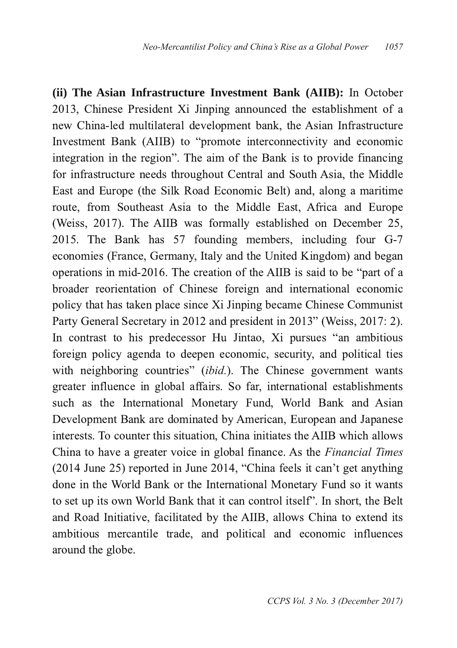**(ii)** The Asian Infrastructure Investment Bank (AIIB): In October 2013, Chinese President Xi Jinping announced the establishment of a new China-led multilateral development bank, the Asian Infrastructure Investment Bank (AIIB) to "promote interconnectivity and economic integration in the region". The aim of the Bank is to provide financing for infrastructure needs throughout Central and South Asia, the Middle East and Europe (the Silk Road Economic Belt) and, along a maritime route, from Southeast Asia to the Middle East, Africa and Europe (Weiss, 2017). The AIIB was formally established on December 25, 2015. The Bank has 57 founding members, including four G-7 economies (France, Germany, Italy and the United Kingdom) and began operations in mid-2016. The creation of the AIIB is said to be "part of a broader reorientation of Chinese foreign and international economic policy that has taken place since Xi Jinping became Chinese Communist Party General Secretary in 2012 and president in 2013" (Weiss, 2017: 2). In contrast to his predecessor Hu Jintao, Xi pursues "an ambitious foreign policy agenda to deepen economic, security, and political ties with neighboring countries" (ibid.). The Chinese government wants greater influence in global affairs. So far, international establishments such as the International Monetary Fund, World Bank and Asian Development Bank are dominated by American, European and Japanese interests. To counter this situation, China initiates the AIIB which allows China to have a greater voice in global finance. As the *Financial Times*  $(2014$  June 25) reported in June 2014, "China feels it can't get anything done in the World Bank or the International Monetary Fund so it wants to set up its own World Bank that it can control itself". In short, the Belt and Road Initiative, facilitated by the AIIB, allows China to extend its ambitious mercantile trade, and political and economic influences around the globe.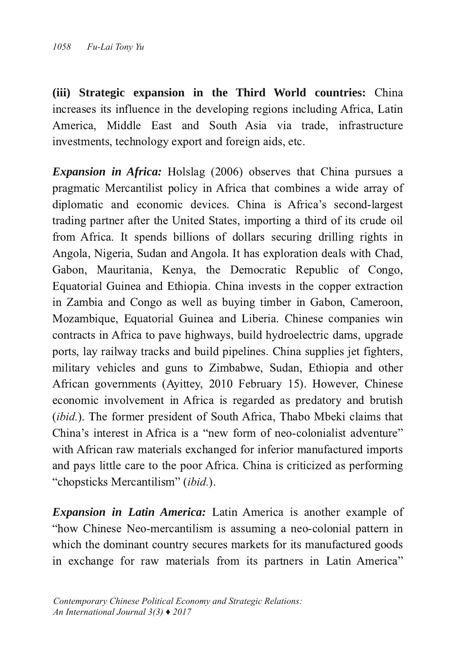**(iii) Strategic expansion** in the Third World **countries:** China increases its influence in the developing regions including Africa, Latin America, Middle East and South Asia via trade, infrastructure investments, technology export and foreign aids, etc.

*Expansion in Africa:* Holslag (2006) observes that China pursues a pragmatic Mercantilist policy in Africa that combines a wide array of diplomatic and economic devices. China is Africa's second-largest trading partner after the United States, importing a third of its crude oil from Africa. It spends billions of dollars securing drilling rights in Angola, Nigeria, Sudan and Angola. It has exploration deals with Chad, Gabon, Mauritania, Kenva, the Democratic Republic of Congo, Equatorial Guinea and Ethiopia. China invests in the copper extraction in Zambia and Congo as well as buying timber in Gabon, Cameroon, Mozambique, Equatorial Guinea and Liberia. Chinese companies win contracts in Africa to pave highways, build hydroelectric dams, upgrade ports, lay railway tracks and build pipelines. China supplies jet fighters, military vehicles and guns to Zimbabwe, Sudan, Ethiopia and other African governments (Ayittey, 2010 February 15). However, Chinese economic involvement in Africa is regarded as predatory and brutish (ibid.). The former president of South Africa, Thabo Mbeki claims that China's interest in Africa is a "new form of neo-colonialist adventure" with African raw materials exchanged for inferior manufactured imports and pays little care to the poor Africa. China is criticized as performing "chopsticks Mercantilism" (ibid.).

*Expansion in Latin America:* Latin America is another example of "how Chinese Neo-mercantilism is assuming a neo-colonial pattern in which the dominant country secures markets for its manufactured goods in exchange for raw materials from its partners in Latin America"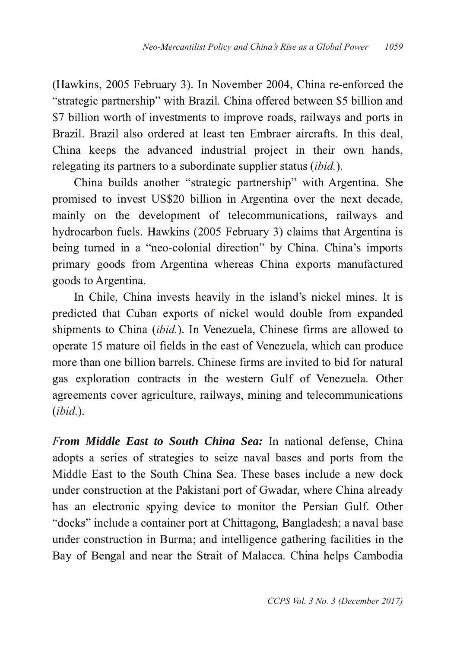(Hawkins, 2005 February 3). In November 2004, China re-enforced the "strategic partnership" with Brazil. China offered between \$5 billion and \$7 billion worth of investments to improve roads, railways and ports in Brazil. Brazil also ordered at least ten Embraer aircrafts. In this deal, China keeps the advanced industrial project in their own hands, relegating its partners to a subordinate supplier status (ibid.).

China builds another "strategic partnership" with Argentina. She promised to invest US\$20 billion in Argentina over the next decade, mainly on the development of telecommunications, railways and hydrocarbon fuels. Hawkins (2005 February 3) claims that Argentina is being turned in a "neo-colonial direction" by China. China's imports primary goods from Argentina whereas China exports manufactured goods to Argentina.

In Chile, China invests heavily in the island's nickel mines. It is predicted that Cuban exports of nickel would double from expanded shipments to China (ibid.). In Venezuela, Chinese firms are allowed to operate 15 mature oil fields in the east of Venezuela, which can produce more than one billion barrels. Chinese firms are invited to bid for natural gas exploration contracts in the western Gulf of Venezuela. Other agreements cover agriculture, railways, mining and telecommunications *ibid.*

*From Middle East to South China Sea:* In national defense, China adopts a series of strategies to seize naval bases and ports from the Middle East to the South China Sea. These bases include a new dock under construction at the Pakistani port of Gwadar, where China already has an electronic spying device to monitor the Persian Gulf. Other "docks" include a container port at Chittagong, Bangladesh; a naval base under construction in Burma; and intelligence gathering facilities in the Bay of Bengal and near the Strait of Malacca. China helps Cambodia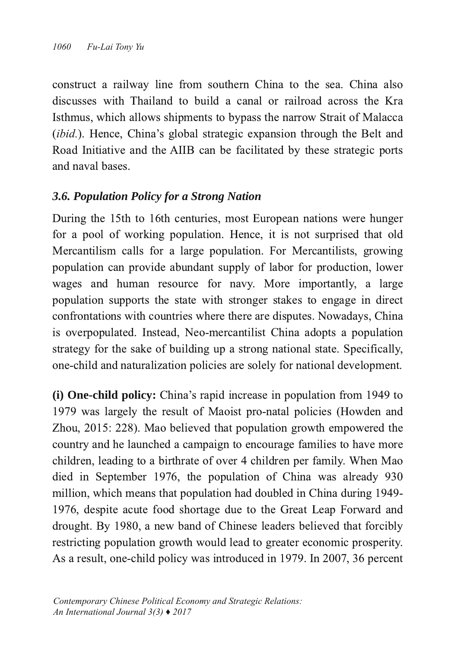construct a railway line from southern China to the sea. China also discusses with Thailand to build a canal or railroad across the Kra Isthmus, which allows shipments to bypass the narrow Strait of Malacca (ibid.). Hence, China's global strategic expansion through the Belt and Road Initiative and the AIIB can be facilitated by these strategic ports and naval bases.

# *3.6. Population Policy for a Strong Nation*

During the 15th to 16th centuries, most European nations were hunger for a pool of working population. Hence, it is not surprised that old Mercantilism calls for a large population. For Mercantilists, growing population can provide abundant supply of labor for production, lower wages and human resource for navy. More importantly, a large population supports the state with stronger stakes to engage in direct confrontations with countries where there are disputes. Nowadays, China is overpopulated. Instead, Neo-mercantilist China adopts a population strategy for the sake of building up a strong national state. Specifically, one-child and naturalization policies are solely for national development.

**(i) One-child policy:** China's rapid increase in population from 1949 to 1979 was largely the result of Maoist pro-natal policies (Howden and Zhou, 2015: 228). Mao believed that population growth empowered the country and he launched a campaign to encourage families to have more children, leading to a birthrate of over 4 children per family. When Mao died in September 1976, the population of China was already  $930$ million, which means that population had doubled in China during 1949-1976, despite acute food shortage due to the Great Leap Forward and drought. By 1980, a new band of Chinese leaders believed that forcibly restricting population growth would lead to greater economic prosperity. As a result, one-child policy was introduced in 1979. In 2007, 36 percent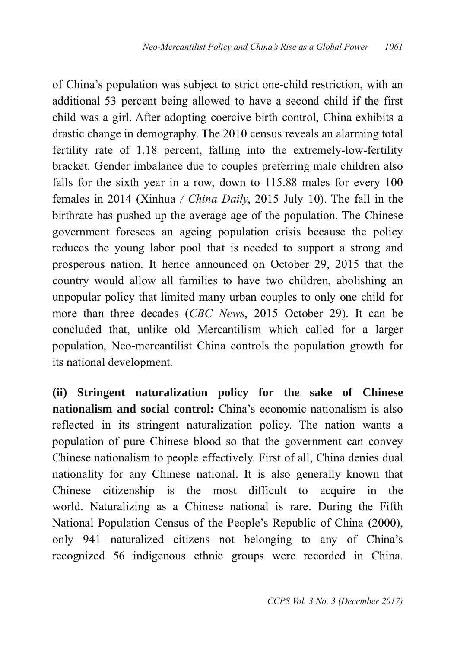of China's population was subject to strict one-child restriction, with an additional 53 percent being allowed to have a second child if the first child was a girl. After adopting coercive birth control, China exhibits a drastic change in demography. The 2010 census reveals an alarming total fertility rate of 1.18 percent, falling into the extremely-low-fertility bracket. Gender imbalance due to couples preferring male children also falls for the sixth year in a row, down to  $115.88$  males for every  $100$ females in 2014 (Xinhua / *China Daily*, 2015 July 10). The fall in the birthrate has pushed up the average age of the population. The Chinese government foresees an ageing population crisis because the policy reduces the young labor pool that is needed to support a strong and prosperous nation. It hence announced on October 29, 2015 that the country would allow all families to have two children, abolishing an unpopular policy that limited many urban couples to only one child for more than three decades (CBC News, 2015 October 29). It can be concluded that, unlike old Mercantilism which called for a larger population, Neo-mercantilist China controls the population growth for its national development.

**(ii) Stringent naturalization policy for the sake of Chinese nationalism and social control:** China's economic nationalism is also reflected in its stringent naturalization policy. The nation wants a population of pure Chinese blood so that the government can convey Chinese nationalism to people effectively. First of all, China denies dual nationality for any Chinese national. It is also generally known that Chinese citizenship is the most difficult to acquire in the world. Naturalizing as a Chinese national is rare. During the Fifth National Population Census of the People's Republic of China (2000), only 941 naturalized citizens not belonging to any of China's recognized 56 indigenous ethnic groups were recorded in China.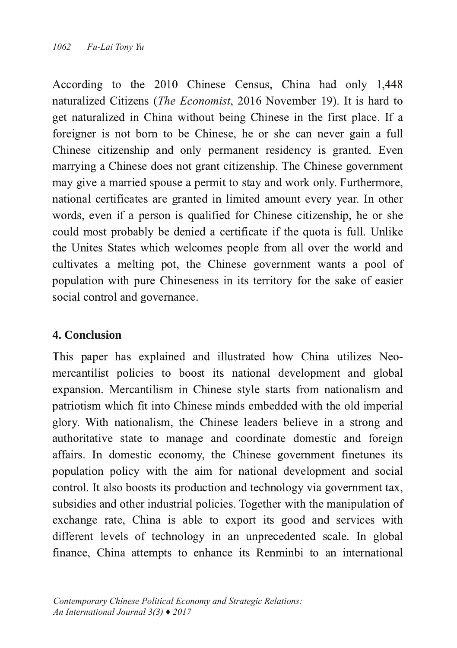According to the  $2010$  Chinese Census, China had only  $1,448$ naturalized Citizens (*The Economist*, 2016 November 19). It is hard to get naturalized in China without being Chinese in the first place. If a foreigner is not born to be Chinese, he or she can never gain a full Chinese citizenship and only permanent residency is granted. Even marrying a Chinese does not grant citizenship. The Chinese government may give a married spouse a permit to stay and work only. Furthermore, national certificates are granted in limited amount every year. In other words, even if a person is qualified for Chinese citizenship, he or she could most probably be denied a certificate if the quota is full. Unlike the Unites States which welcomes people from all over the world and cultivates a melting pot, the Chinese government wants a pool of population with pure Chineseness in its territory for the sake of easier social control and governance.

# **4. Conclusion**

This paper has explained and illustrated how China utilizes Neomercantilist policies to boost its national development and global expansion. Mercantilism in Chinese style starts from nationalism and patriotism which fit into Chinese minds embedded with the old imperial glory. With nationalism, the Chinese leaders believe in a strong and authoritative state to manage and coordinate domestic and foreign affairs. In domestic economy, the Chinese government finetunes its population policy with the aim for national development and social control. It also boosts its production and technology via government tax, subsidies and other industrial policies. Together with the manipulation of exchange rate, China is able to export its good and services with different levels of technology in an unprecedented scale. In global finance, China attempts to enhance its Renminbi to an international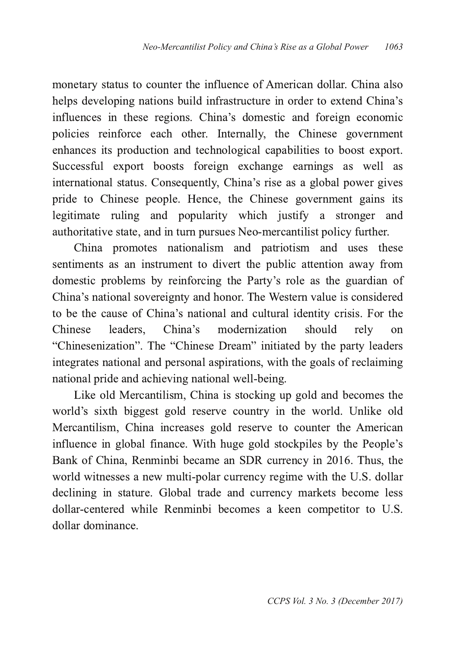monetary status to counter the influence of American dollar. China also helps developing nations build infrastructure in order to extend China's influences in these regions. China's domestic and foreign economic policies reinforce each other. Internally, the Chinese government enhances its production and technological capabilities to boost export. Successful export boosts foreign exchange earnings as well as international status. Consequently, China's rise as a global power gives pride to Chinese people. Hence, the Chinese government gains its legitimate ruling and popularity which justify a stronger and authoritative state, and in turn pursues Neo-mercantilist policy further.

China promotes nationalism and patriotism and uses these sentiments as an instrument to divert the public attention away from domestic problems by reinforcing the Party's role as the guardian of China's national sovereignty and honor. The Western value is considered to be the cause of China's national and cultural identity crisis. For the Chinese leaders. China's modernization should rely on "Chinesenization". The "Chinese Dream" initiated by the party leaders integrates national and personal aspirations, with the goals of reclaiming national pride and achieving national well-being.

Like old Mercantilism, China is stocking up gold and becomes the world's sixth biggest gold reserve country in the world. Unlike old Mercantilism, China increases gold reserve to counter the American influence in global finance. With huge gold stockpiles by the People's Bank of China, Renminbi became an SDR currency in 2016. Thus, the world witnesses a new multi-polar currency regime with the U.S. dollar declining in stature. Global trade and currency markets become less dollar-centered while Renminbi becomes a keen competitor to U.S. dollar dominance.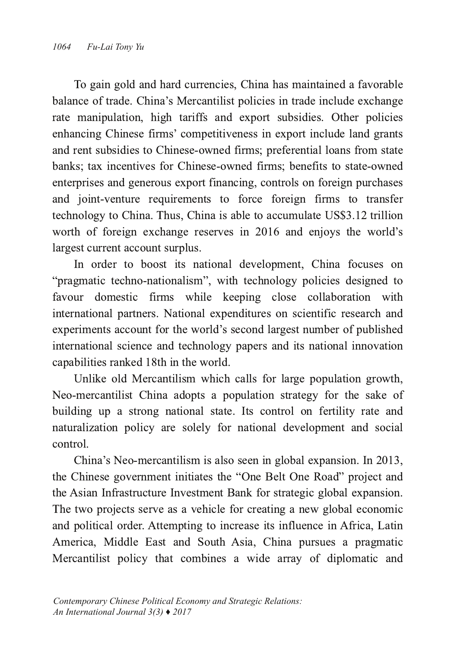To gain gold and hard currencies, China has maintained a favorable balance of trade. China's Mercantilist policies in trade include exchange rate manipulation, high tariffs and export subsidies. Other policies enhancing Chinese firms' competitiveness in export include land grants and rent subsidies to Chinese-owned firms; preferential loans from state banks; tax incentives for Chinese-owned firms; benefits to state-owned enterprises and generous export financing, controls on foreign purchases and joint-venture requirements to force foreign firms to transfer technology to China. Thus, China is able to accumulate US\$3.12 trillion worth of foreign exchange reserves in 2016 and enjoys the world's largest current account surplus.

In order to boost its national development, China focuses on "pragmatic techno-nationalism", with technology policies designed to favour domestic firms while keeping close collaboration with international partners. National expenditures on scientific research and experiments account for the world's second largest number of published international science and technology papers and its national innovation capabilities ranked 18th in the world.

Unlike old Mercantilism which calls for large population growth, Neo-mercantilist China adopts a population strategy for the sake of building up a strong national state. Its control on fertility rate and naturalization policy are solely for national development and social control.

China's Neo-mercantilism is also seen in global expansion. In 2013, the Chinese government initiates the "One Belt One Road" project and the Asian Infrastructure Investment Bank for strategic global expansion. The two projects serve as a vehicle for creating a new global economic and political order. Attempting to increase its influence in Africa, Latin America, Middle East and South Asia, China pursues a pragmatic Mercantilist policy that combines a wide array of diplomatic and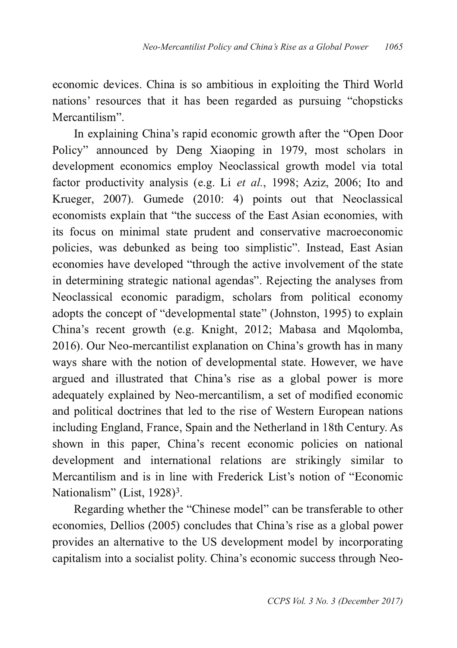economic devices. China is so ambitious in exploiting the Third World nations' resources that it has been regarded as pursuing "chopsticks" Mercantilism".

In explaining China's rapid economic growth after the "Open Door" Policy" announced by Deng Xiaoping in 1979, most scholars in development economics employ Neoclassical growth model via total factor productivity analysis (e.g. Li et al., 1998; Aziz, 2006; Ito and Krueger, 2007). Gumede (2010: 4) points out that Neoclassical economists explain that "the success of the East Asian economies, with its focus on minimal state prudent and conservative macroeconomic policies, was debunked as being too simplistic". Instead, East Asian economies have developed "through the active involvement of the state in determining strategic national agendas". Rejecting the analyses from Neoclassical economic paradigm, scholars from political economy adopts the concept of "developmental state" (Johnston, 1995) to explain China's recent growth (e.g. Knight, 2012; Mabasa and Mqolomba, 2016). Our Neo-mercantilist explanation on China's growth has in many ways share with the notion of developmental state. However, we have argued and illustrated that China's rise as a global power is more adequately explained by Neo-mercantilism, a set of modified economic and political doctrines that led to the rise of Western European nations including England, France, Spain and the Netherland in 18th Century. As shown in this paper, China's recent economic policies on national development and international relations are strikingly similar to Mercantilism and is in line with Frederick List's notion of "Economic Nationalism" (List, 1928)<sup>3</sup>. .

Regarding whether the "Chinese model" can be transferable to other economies, Dellios (2005) concludes that China's rise as a global power provides an alternative to the US development model by incorporating capitalism into a socialist polity. China's economic success through Neo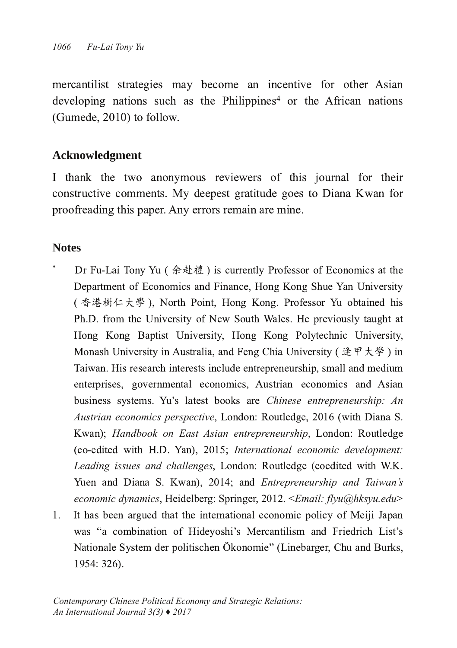mercantilist strategies may become an incentive for other Asian developing nations such as the Philippines<sup>4</sup> or the African nations  $(Gumede, 2010)$  to follow.

## **Acknowledgment**

I thank the two anonymous reviewers of this journal for their constructive comments. My deepest gratitude goes to Diana Kwan for proofreading this paper. Any errors remain are mine.

## **Notes**

- Dr Fu-Lai Tony Yu (余赴禮) is currently Professor of Economics at the Department of Economics and Finance, Hong Kong Shue Yan University ( 香港樹仁大学 ), North Point, Hong Kong. Professor Yu obtained his Ph.D. from the University of New South Wales. He previously taught at Hong Kong Baptist University, Hong Kong Polytechnic University, Monash University in Australia, and Feng Chia University (逢甲大學) in Taiwan. His research interests include entrepreneurship, small and medium enterprises, governmental economics, Austrian economics and Asian business systems. Yu's latest books are *Chinese entrepreneurship: An* Austrian economics perspective, London: Routledge, 2016 (with Diana S. Kwan): *Handbook on East Asian entrepreneurship*, London: Routledge (co-edited with H.D. Yan), 2015; International economic development: Leading issues and challenges, London: Routledge (coedited with W.K. Yuen and Diana S. Kwan), 2014; and *Entrepreneurship and Taiwan's* economic dynamics, Heidelberg: Springer, 2012. <Email: flyu@hksyu.edu>  $1<sub>1</sub>$ It has been argued that the international economic policy of Meiji Japan
- was "a combination of Hideyoshi's Mercantilism and Friedrich List's Nationale System der politischen Ökonomie" (Linebarger, Chu and Burks, 1954: 326).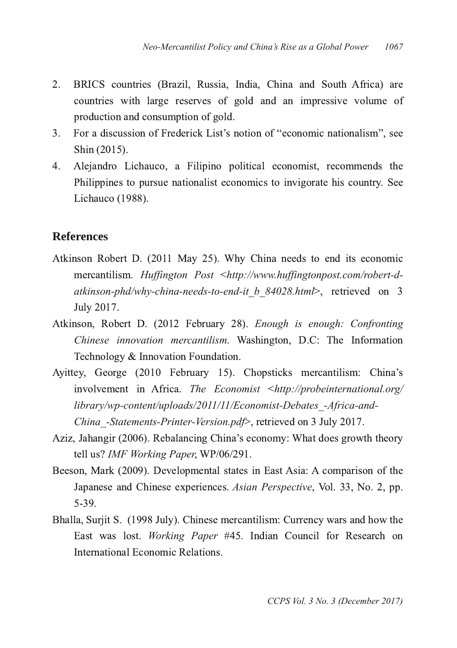- $2.$ BRICS countries (Brazil, Russia, India, China and South Africa) are countries with large reserves of gold and an impressive volume of production and consumption of gold.
- $3<sup>1</sup>$ For a discussion of Frederick List's notion of "economic nationalism", see Shin (2015).
- $4<sup>1</sup>$ Alejandro Lichauco, a Filipino political economist, recommends the Philippines to pursue nationalist economics to invigorate his country. See Lichauco (1988).

#### **References**

- Atkinson Robert D. (2011 May 25). Why China needs to end its economic mercantilism. Huffington Post <http://www.huffingtonpost.com/robert-datkinson-phd/why-china-needs-to-end-it b 84028.html>, retrieved on 3 July 2017.
- Atkinson, Robert D. (2012 February 28). Enough is enough: Confronting *Chinese innovation mercantilism*. Washington, D.C: The Information Technology & Innovation Foundation.
- Ayittey, George (2010 February 15). Chopsticks mercantilism: China's involvement in Africa. The *Economist <http://probeinternational.org/* library/wp-content/uploads/2011/11/Economist-Debates -Africa-and-*China\_Statements-Printer-Version.pdf>*, retrieved on 3 July 2017.
- Aziz, Jahangir (2006). Rebalancing China's economy: What does growth theory tell us? IMF Working Paper, WP/06/291.
- Beeson, Mark (2009). Developmental states in East Asia: A comparison of the Japanese and Chinese experiences. Asian Perspective, Vol. 33, No. 2, pp.  $5 - 39$ .
- Bhalla, Surjit S. (1998 July). Chinese mercantilism: Currency wars and how the East was lost. Working Paper #45. Indian Council for Research on International Economic Relations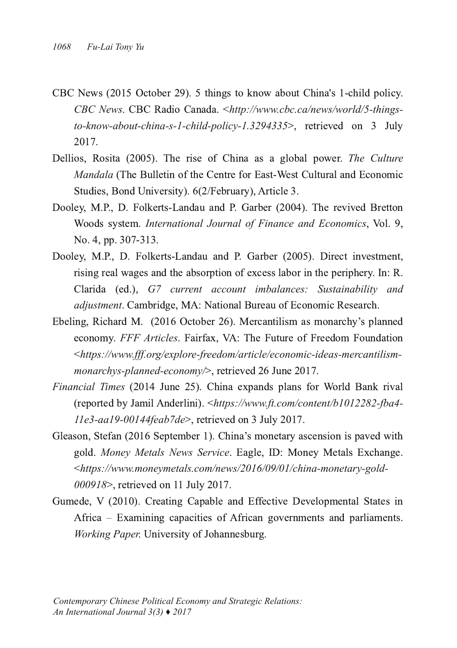- CBC News (2015 October 29). 5 things to know about China's 1-child policy. CBC News. CBC Radio Canada. <http://www.cbc.ca/news/world/5-things*to-know-about-china-s-1-child-policy-1.3294335>*, retrieved on 3 July 2017.
- Dellios, Rosita (2005). The rise of China as a global power. The Culture *Mandala* (The Bulletin of the Centre for East-West Cultural and Economic Studies, Bond University). 6(2/February), Article 3.
- Dooley, M.P., D. Folkerts-Landau and P. Garber (2004). The revived Bretton Woods system. International Journal of Finance and Economics, Vol. 9. No. 4, pp. 307-313.
- Dooley, M.P., D. Folkerts-Landau and P. Garber (2005). Direct investment, rising real wages and the absorption of excess labor in the periphery. In: R. Clarida (ed.), G7 current account *imbalances: Sustainability and* adjustment. Cambridge, MA: National Bureau of Economic Research.
- Ebeling, Richard M. (2016 October 26). Mercantilism as monarchy's planned economy. FFF Articles. Fairfax, VA: The Future of Freedom Foundation <https://www.fff.org/explore-freedom/article/economic-ideas-mercantilismmonarchys-planned-economy/>, retrieved 26 June 2017.
- Financial Times (2014 June 25). China expands plans for World Bank rival (reported by Jamil Anderlini). <https://www.ft.com/content/b1012282-fba4-*11e3-aa19-00144feab7de>*, retrieved on 3 July 2017.
- Gleason, Stefan (2016 September 1). China's monetary ascension is paved with gold. Money Metals News Service. Eagle, ID: Money Metals Exchange. <https://www.moneymetals.com/news/2016/09/01/china-monetary-gold-000918>, retrieved on 11 July 2017.
- Gumede, V (2010). Creating Capable and Effective Developmental States in Africa – Examining capacities of African governments and parliaments. *Working Paper*. University of Johannesburg.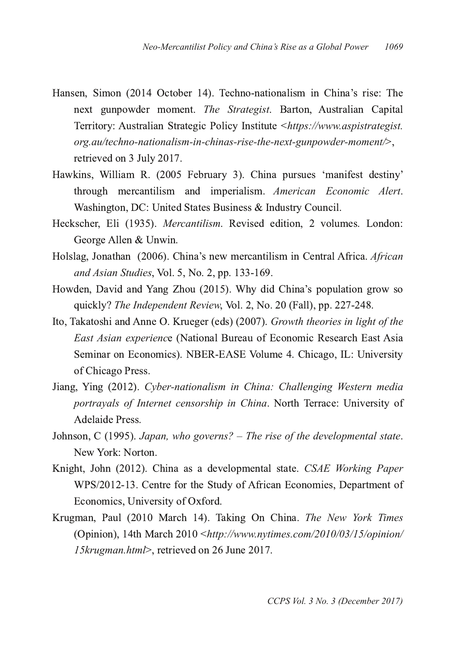- Hansen, Simon (2014 October 14). Techno-nationalism in China's rise: The next gunpowder moment. The Strategist. Barton, Australian Capital Territory: Australian Strategic Policy Institute <https://www.aspistrategist. *org.au/techno-nationalism-in-chinas-rise-the-next-gunpowder-moment/>.* retrieved on 3 July 2017.
- Hawkins, William R. (2005 February 3). China pursues 'manifest destiny' through mercantilism and imperialism. American Economic Alert. Washington, DC: United States Business & Industry Council.
- Heckscher, Eli (1935). Mercantilism. Revised edition, 2 volumes. London: George Allen & Unwin.
- Holslag, Jonathan (2006). China's new mercantilism in Central Africa. African and Asian Studies, Vol. 5, No. 2, pp. 133-169.
- Howden, David and Yang Zhou (2015). Why did China's population grow so quickly? The Independent Review, Vol. 2, No. 20 (Fall), pp. 227-248.
- Ito, Takatoshi and Anne O. Krueger (eds) (2007). Growth theories in light of the *East Asian experience* (National Bureau of Economic Research East Asia Seminar on Economics). NBER-EASE Volume 4. Chicago, IL: University of Chicago Press.
- Jiang, Ying (2012). Cyber-nationalism in China: Challenging Western media *portrayals of Internet censorship in China*. North Terrace: University of Adelaide Press.
- %G@FKGF *Japan, who governs? – The rise of the developmental state* New York: Norton.
- Knight, John (2012). China as a developmental state. CSAE Working Paper WPS/2012-13. Centre for the Study of African Economies, Department of Economics, University of Oxford.
- Krugman, Paul (2010 March 14). Taking On China. The New York Times (Opinion), 14th March 2010 <http://www.nytimes.com/2010/03/15/opinion/ *15krugman.html>*, retrieved on 26 June 2017.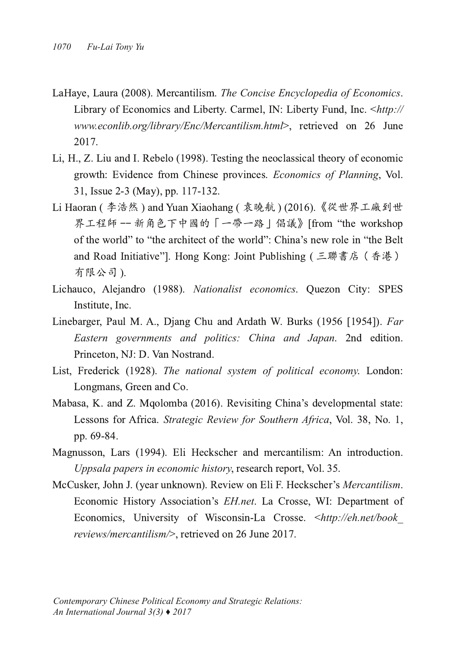- LaHaye, Laura (2008). Mercantilism. The Concise Encyclopedia of Economics. Library of Economics and Liberty. Carmel, IN: Liberty Fund, Inc. <http:// *www.econlib.org/library/Enc/Mercantilism.html>*, retrieved on 26 June 2017.
- Li, H., Z. Liu and I. Rebelo (1998). Testing the neoclassical theory of economic growth: Evidence from Chinese provinces. Economics of Planning, Vol. 31, Issue 2-3 (May), pp. 117-132.
- Li Haoran ( 李浩然 ) and Yuan Xiaohang ( 袁曉航 ) (2016). 界工程師 -- 新角色下中國的「一帶一路 | 倡議》[from "the workshop of the world" to "the architect of the world": China's new role in "the Belt" and Road Initiative"]. Hong Kong: Joint Publishing ( 有限公司).
- Lichauco, Alejandro (1988). Nationalist economics. Quezon City: SPES Institute. Inc.
- Linebarger, Paul M. A., Djang Chu and Ardath W. Burks (1956 [1954]). Far *Eastern governments and politics: China and Japan.* 2nd edition. Princeton, NJ: D. Van Nostrand.
- List, Frederick (1928). The national system of political economy. London: Longmans, Green and Co.
- Mabasa, K. and Z. Mqolomba (2016). Revisiting China's developmental state: Lessons for Africa. Strategic Review for Southern Africa, Vol. 38, No. 1, pp. 69-84.
- Magnusson, Lars (1994). Eli Heckscher and mercantilism: An introduction. *Uppsala papers in economic history*, research report, Vol. 35.
- McCusker, John J. (year unknown). Review on Eli F. Heckscher's Mercantilism. Economic History Association's EH.net. La Crosse, WI: Department of Economics, University of Wisconsin-La Crosse. <http://eh.net/book\_ *reviews/mercantilism/>* retrieved on 26 June 2017.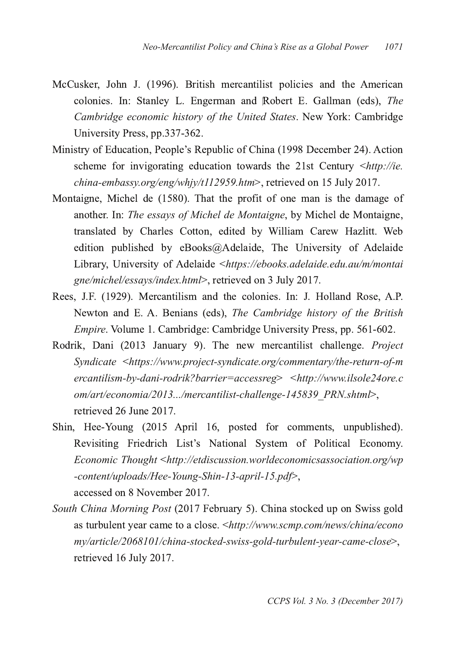- McCusker, John J. (1996). British mercantilist policies and the American colonies. In: Stanley L. Engerman and Robert E. Gallman (eds), The *Cambridge economic history of the United States. New York: Cambridge* University Press, pp.337-362.
- Ministry of Education, People's Republic of China (1998 December 24). Action scheme for invigorating education towards the 21st Century <http://ie. china-embassy.org/eng/whjy/t112959.htm>, retrieved on 15 July 2017.
- Montaigne, Michel de (1580). That the profit of one man is the damage of another. In: The essays of Michel de Montaigne, by Michel de Montaigne, translated by Charles Cotton, edited by William Carew Hazlitt. Web edition published by eBooks@Adelaide, The University of Adelaide Library, University of Adelaide <https://ebooks.adelaide.edu.au/m/montai gne/michel/essays/index.html>, retrieved on 3 July 2017.
- Rees, J.F. (1929). Mercantilism and the colonies. In: J. Holland Rose, A.P. Newton and E. A. Benians (eds), *The Cambridge history of the British* Empire. Volume 1. Cambridge: Cambridge University Press, pp. 561-602.
- Rodrik, Dani (2013 January 9). The new mercantilist challenge. Project Syndicate <https://www.project-syndicate.org/commentary/the-return-of-m *ercantilismbydanirodrik?barrier=accessreg http://www.ilsole24ore.c om/art/economia/2013.../mercantilist-challenge-145839 PRN.shtml>,* retrieved 26 June 2017.
- Shin, Hee-Young (2015 April 16, posted for comments, unpublished). Revisiting Friedrich List's National System of Political Economy. *Economic Thought http://etdiscussion.worldeconomicsassociation.org/wp* -content/uploads/Hee-Young-Shin-13-april-15.pdf>, accessed on 8 November 2017.
- South China Morning Post (2017 February 5). China stocked up on Swiss gold as turbulent year came to a close. <http://www.scmp.com/news/china/econo *my/article/2068101/china-stocked-swiss-gold-turbulent-year-came-close>*, retrieved 16 July 2017.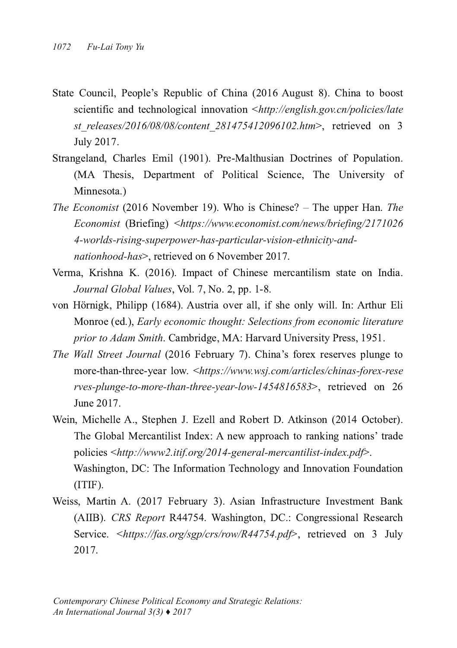- State Council, People's Republic of China (2016 August 8). China to boost scientific and technological innovation  $\langle$ http://english.gov.cn/policies/late *st\_releases/2016/08/08/content\_281475412096102.htm>*,\_retrieved\_on\_3 July 2017.
- Strangeland, Charles Emil (1901). Pre-Malthusian Doctrines of Population. (MA Thesis, Department of Political Science, The University of Minnesota.)
- The Economist (2016 November 19). Who is Chinese? The upper Han. The *Economist* (Briefing) <https://www.economist.com/news/briefing/2171026 4-worlds-rising-superpower-has-particular-vision-ethnicity-and*nationhood-has*> retrieved on 6 November 2017.
- Verma, Krishna K. (2016). Impact of Chinese mercantilism state on India. *Journal Global Values*, Vol. 7, No. 2, pp. 1-8.
- von Hörnigk, Philipp (1684). Austria over all, if she only will. In: Arthur Eli *Konroe (ed.), Early economic thought: Selections from economic literature* prior to Adam Smith. Cambridge, MA: Harvard University Press, 1951.
- The Wall Street Journal (2016 February 7). China's forex reserves plunge to more-than-three-year low. <https://www.wsj.com/articles/chinas-forex-rese *rves-plunge-to-more-than-three-year-low-1454816583>*, retrieved on 26 June 2017.
- Wein, Michelle A., Stephen J. Ezell and Robert D. Atkinson (2014 October). The Global Mercantilist Index: A new approach to ranking nations' trade policies <http://www2.itif.org/2014-general-mercantilist-index.pdf>. Washington, DC: The Information Technology and Innovation Foundation (ITIF).
- Weiss, Martin A. (2017 February 3). Asian Infrastructure Investment Bank (AIIB). CRS Report R44754. Washington, DC.: Congressional Research Service. <https://fas.org/sgp/crs/row/R44754.pdf>, retrieved on 3 July 2017.